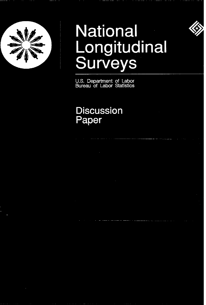

# **National** Longitudinal Surveys



U.S. Department of Labor<br>Bureau of Labor Statistics

## **Discussion** Paper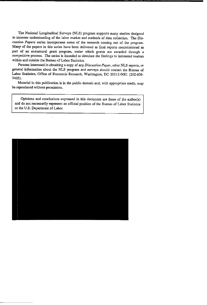The National Longitudinal Surveys (NLS) program supports many studies designed to increase understanding of the labor market and methods of data collection. The Discussion Papers series incorporates some of the research coming out of the program. Many of the papers in this series have been delivered as final reports commissioned as part of an extramural grant program, under which grants are awarded through a competitive process. The series is intended to circulate the findings to interested readers within and outside the Bureau of Labor Statistics.

Persons interested in obtaining a copy of any Discussion Paper, other NLS reports, or general information about the NLS program and surveys should contact the Bureau of Labor Statistics, Office of Economic Research, Washington, DC 20212-0001 (202-606-7405).

Material in this publication is in the public domain and, with appropriate credit, may be reproduced without permission.

Opinions and conclusions expressed in this document are those of the author(s) and do not necessarily represent an official position of the Bureau of Labor Statistics or the U.S. Department of Labor.

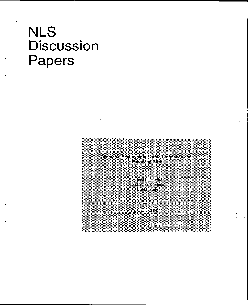## NLS **Discussion** Papers

\*

.

.

**Women's Employment During Pregnancy and Following Birth** 

> Arleen Leibowitz Jacob Alex Klerman Linda Waite

February 1992 Report: NLS 92-11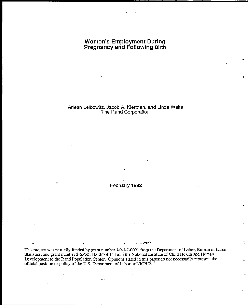## **Women's Employment During<br>Pregnancy and Following Birth**

## Arleen Leibowitz, Jacob A. Klerman, and Linda Waite<br>The Rand Corporation

February 1992

This project was partially funded by grant number J-9-J-7-0091 from the Department of Labor, Bureau of Labor<br>Statistics, and grant number 2-5P50 HD12639-11 from the National Institute of Child Health and Human Development to the Rand Population Center. Opinions stated in this paper do not necessarily represent the official position or policy of the U.S. Department of Labor or NICHD.

 $\frac{1}{2}$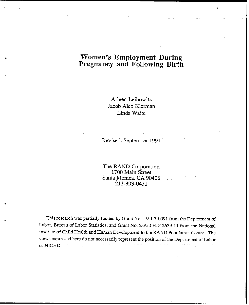### **Women's Employment During** Pregnancy and Following Birth

Arleen Leibowitz Jacob Alex Klerman Linda Waite

Revised: September 1991

The RAND Corporation 1700 Main Street Santa Monica, CA 90406 213-393-0411

This research was partially funded by Grant No. J-9-J-7-0091 from the Department of Labor, Bureau of Labor Statistics, and Grant No. 2-P50 HD12639-11 from the National Institute of Child Health and Human Development to the RAND Population Center. The views expressed here do not necessarily represent the position of the Department of Labor or NICHD.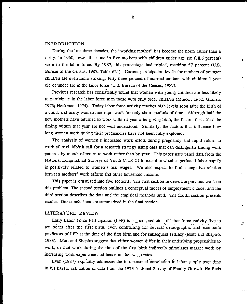#### INTRODUCTION

During the last three decades, the "working mother" has become the norm rather than a rarity. In 1960, fewer than one in five mothers with children under age six (18.6 percent) were in the labor force. By 1987, this percentage had tripled, reaching 57 percent (U.S. Bureau of the Census, 1987, Table 624). Current participation levels for mothers of younger children are even more striking. Fifty-three percent of married mothers with children 1 year old or under are in the Iabor force (U.S. Bureau of the Census, 1987).

.

\*

.

Previous research has consistently found that women with young children are less likely to participate in the labor force than those with only older children (Mincer, 1962; Gronau, 1973; Heckman, 1974). Today labor force activity reaches high levels soon after the birth of a child, and many women interrupt work for only short periods of time. Although half the new mothers have returned to work within a year after giving birth, the factors that affect the timing within that year are not well understood. Similarly, the factors that influence how long women work during their pregnancies have not been fully explored.

The analysis of women's increased work effort during pregnmcy and rapid return to work after childbirth caU for a research strategy using data that can distinguish among work patterns by month of return to work rather than by year. This paper uses panel data from the National Longitudinal Surveys of Youth (NLS-Y) to examine whether perinatal labor supply is positively related to women's real wages. We also expect to find a negative relation between mothers' work efforts and other household income.

This paper is organized into five sections: The first section reviews the previous work on this problem. The second section outlines a conceptual model of employment choice, and the third section describes the data and the empirical methods used. The fourth section presents results. Our conclusions are summarized in the final section.

#### LITERATURE REVIEW

Early Labor Force Participation (LFP) is a good predictor of labor force activity five to ten years after the first birth, *even* controlling for severaf demographic and economic predictors of LFP at the time of the first birth and for subsequent fertility (Mott and Shapiro, 1983). Mott and Shapiro suggest that either women differ in their underlying propensities to work, or fiat work during the time of the first birth indirectly stimulates market work by increasing work experience and hence market wage rates.

Even (1987) explicitly addresses the intrapersonal correlation in labor supply over time in his hazard estimation of data from the 1973 National Survey of Family Growth. He finds

2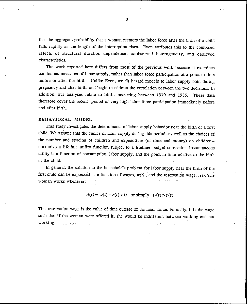that the aggregate probability that a woman reenters the labor force after the birth of a child falls rapidly as the length of the interruption rises. Even attributes this to the combined effects of structural duration dependence, unobserved heterogeneity, and observed characteristics.

The work reported here differs from most of the previous work because it examines continuous measures of labor supply, rather than labor force participation at a point in time before or after the birth. Unlike Even, we fit hazard models to labor supply both during pregnancy and after birth, and begin to address the correlation between the two decisions. In addition, our analyses relate to births occurring between 1979 and" 1985. These data therefore cover tie recent period of very high labor force panicipation immediately before and after birth.

#### BEHAVIORAL MODEL

.

This study investigates the determinants of labor supply behavior near the birth of a first child. We assume that the choice of labor supply during this period--as well as the choices of the number and spacing of children and expenditure (of time and money) on children-maximize a lifetime utility function subject to a lifetime budget constraint. Instantaneous utility is a function of consumption, labor supply, and the point in time relative to the birth of the child.

In general, the solution to the household's problem for Iabor supply near the birth of the first child can be expressed as a function of wages,  $w(t)$ , and the reservation wage,  $r(t)$ . The woman works whenever

 $d(t) = w(t) - r(t) > 0$  or simply  $w(t) > r(t)$ .

This reservation wage is the value of time outside of the labor force. Formally, it is the wage such that if the woman were offered it, she would be indifferent between working and not working. . .....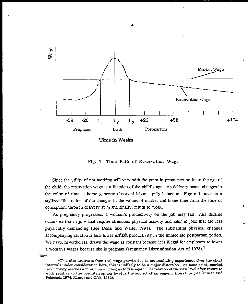

Time in Weeks

Fig. 1-Time Path of Reservation Wage

Since the utility of not working will vary with the point in pregnancy or, later, the age of the child, the reservation wage is a function of the child's age. As delivery nears, changes in the value of time at home generate observed labor supply behavior. Figure 1 presents a stylized illustration of the changes in the values of market and home time from the time of conception, through delivery at  $t_0$  and finally, return to work.

Ŝ.

As pregnancy progresses, a woman's productivity on the job may fall. This decline occurs earlier in jobs that require strenuous physical activity and later in jobs that are less physically demanding (See Desai and Waite, 1991). The substantial physical changes accompanying childbirth also lower market productivity in the immediate postpartum period. We have, nevertheless, drawn the wage as constant because it is illegal for employers to lower a woman's wages because she is pregnant (Pregnancy Discrimination Act of 1978).<sup>1</sup>

<sup>1</sup>This also abstracts from real wage growth due to accumulating experience. Over the short intervals under consideration here, this is unlikely to be a major distortion. At some point, market productivity reaches a minimum and begins to rise again. The relation of the new level after return to work relative to the pre-interruption level is the subject of an ongoing literature (see Mincer and Polachek, 1974; Mincer and Ofek, 1982).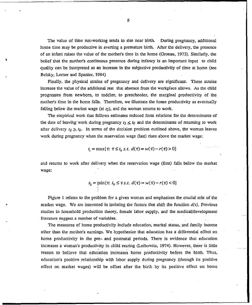The value of time not-working tends *to tise* near birth. During pregnancy, additional home time may be productive in averting a premature birth. After the delivery, the presence of an infant raises the value of the mother's time in the home (Gronau, 1973). Similarly, the belief that the mother's continuous presence during infancy is an important input to child quality can be interpreted as an increase in the subjective productivity of time at home (see Belsky, Lerner and Spanier, 1984)

Finally, the physical strains of pregnancy and delivery are significant. These strains increase the value of the additional rest that absence from the workplace allows. As the child progresses from newborn, to toddler, to preschooler, the marginal productivity of the mother's time in the home falls. Therefore, we illustrate the home productivity as eventually falling below the market wage (at  $t_2$ ), and the woman returns to work.

The empirical work that follows estimates reduced form relations for the determinants of the date of leaving work during pregnancy  $t_1 \leq t_0$  and the determinants of returning to work after delivery  $t_2 \geq t_0$ . In terms of the decision problem outlined above, the woman leaves work during pregnancy when the reservation wage (last) rises above the market wage:

 $t_1 = \max\{\tau: \tau \leq t_0 \text{ s.t. } d(\tau) = w(\tau) - r(\tau) > 0\}$ 

and returns to work after delivery when the reservation wage (first) falls below the market wage:

$$
t_2 = \min\{\tau: t_0 \leq \tau \text{ s.t. } d(\tau) = w(\tau) - r(\tau) < 0\}
$$

Figure 1 relates to the problem for a given woman and emphasizes the crucial role of the market wage. We are interested in isolating the factors that shift the function  $d(t)$ . Previous studies in household production theory, female labor supply, and the medical/development Hiterature suggest a number of variables.

The measures of home productivity include education, marital status, and family income other than tie mother's earnings. We hypothesize that education has a differential effect on home productivity in the pre- and postnatal periods. There is evidence that education increases *a* woman's productivity in child rearing (Leibowitz, 1974). However, there is Iitde reason to believe that education increases home productivity before the birth. Thus, education's positive relationship with labor supply during pregnmcy (through its positive effect on market wages) will be offset after the birth by its positive effect on home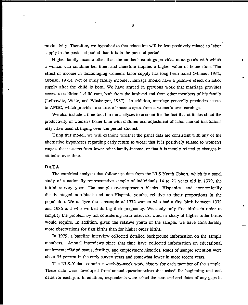productivity. Therefore, we hypothesize that education will be less positively related to labor supply in the postnatal period than it is in the prenatal period.

;

,

Higher family income other than the mother's earnings provides more goods with which a woman can combine her time, and therefore implies a higher value of home time. The effect of income in discouraging women's labor supply has long been noted (Mincer,  $1962$ ; Gronau, 1973). Net of other family income, marriage should have a positive effect on labor supply after the child is born. We have argued in previous work that marriage provides access to additional child care, both from the husband and from other members of his family (Leibowitz, Waite, and Witsberger, 1987). In addition, marriage generally precludes access to AFDC, which provides a source of income apart from a woman's own earnings.

We also include a time trend in the analyses to account for the fact that attitudes about the productivity of women's home time with children and adjustment of labor market institutions may have been changing over the period studied.

Using this model, we wiU examine whether the panel data are consistent with any of the alternative hypotheses regarding early return to work: that it is positively related to women's wages, that it stems from lower other-family-income, or that it is merely related to changes in attitudes over time.

#### DATA

. .

The empirical analyses that follow use data from the NLS Youth Cohort, which is a panel study of a nationally representative sample of individuals 14 to 21 years old in 1979, the initial survey year. The sample overrepresents blacks, Hispanics, and economically disadvantaged non-black and non-Hispanic youths, relative to their proportions in the population. We analyze the subssmple of 1372 women who had a first birth *between* 1979 and 1986 and who worked during their pregnancy. We study only first births in order to simplify the problem by not considering birth intervals, which a study of higher order births wmdd require. In addition, given the relative youth of the sample, we have considerably more observations for first births than for higher order births.

In 1979, a baseline interview collected detailed background information on the sample members. Annual interviews since that time have collected information on educational attainment;~marital status, fertility, and employment histories. Rates of sample retention were about 95 percent in the early survey years and somewhat lower in more recent years.

The NLS-Y data contain a week-by-week work history for each member of the sample. These data were developed from" annust questionnaires hat asked for beginning and end dates for each job. h addition, respondents were asked the start and end dates of any gaps in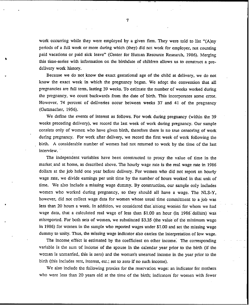work occurring while they were employed by a given firm. They were told to list " $(A)$ ny periods of a full week or more during which (they) did not work for employer, not counting paid vacations or paid sick leave" (Center for Human Resource Research, 1986). Merging this time-series with information on the birthdate of children allows us to construct a predelivery work history.

Because we do not know the exact gestational age of the child at delivery, we do not know the exact week in which the pregnancy began. We adopt the convention that all pregnancies are full term, lasting 39 weeks. To estimate the number of weeks worked during the pregnancy, we count backwards from the date of birth. This incorporates some error. However, 74 percent of deliveries occur between weeks 37 and 41 of the pregnancy (Guttmacher, 1956).

We define the events of interest as follows. For work during pregnancy (within the 39 weeka preceding delivery), we record the last week of work during pregnancy. Our sample consists only of women who have given birth, therefore there is no true censoring of work during pregnancy. For work after delivery, we record the first week of work following the birth. A considerable number of women had not returned to work by the time of the last interview.

The independent variables have been constructed to proxy the value of time in the market and at home, as described above. The hourly wage rate is the real wage rate in 1986 dollars at the job held one year before delivery. For women who did not report an hourly wage rate, we divide earnings per unit time by the number of hours worked in that unit of time. We also include a missing wage dummy. By construction, our sample only includes women who worked during pregnancy, so they should all have a wage. The NLS-Y, however, did not collect wage data for women whose usual time commitment to a job was less than 20 hours a week. In addition, we considered that among women for whom we had wage data, that a calculated real wage of less than \$1.00 an hour (in 1986 dollars) was misreported. For both sets of women, we substituted \$3.35 (the value of the minimum wage in 1986) for women in the sample who reported wages under \$1.00 and set the missing wage dummy to unity. Thus, the missing wage indicator dso carries the interpretation of low wage.

The income effect is estimated by the coefficient on other income. The corresponding variable is the sum of income of the spouse in the calendar year prior to the birth (if the woman is unmarned, this is zero) and the woman's unearned income in the year prior to the birth (this includes rent, interest, etc.; set to zero if no such income).

We also include the following proxies for the reservation wage: an indicator for mothers who were less than 20 years old at the time of the birth; indicators for women with fewer

7

. .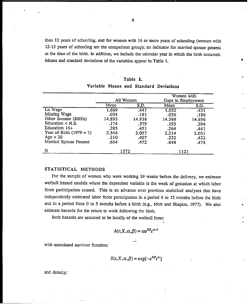than 12 years of schooling, and for women with 16 or more years of schooling (women with 12-15 years of schooling are the comparison group); an indicator for married spouse present at the time of the birth. In addition, we include the calendar year in which the birth occurred. Means and standard deviations of the variables appear in Table 1.

#### Table 1.

.

,

|                            |        | All Women |        | Women with<br>Gaps in Employment |
|----------------------------|--------|-----------|--------|----------------------------------|
|                            | Mean   | S.D.      | Mean   | S.D.                             |
| Ln Wage                    | 1.669  | .441      | 1.632  | .431                             |
| Missing Wage               | .034   | - 181     | .036   | .186                             |
| Other Income (\$000s)      | 14,893 | $-14.938$ | 14.389 | 14.896                           |
| Education $\lt$ H.S.       | .174   | .379      | .193   | .394                             |
| Education $16+$            | .285   | .451      | .264   | .441                             |
| Year of Birth $(1979 = 1)$ | 2.346  | 2.057     | 2.214  | 2.031                            |
| Age $<$ 20                 | .210   | .407      | .232   | .422                             |
| Married Spouse Present     | .664   | .472      | .648   | .478                             |
| N                          |        | 1372      | 1121   |                                  |

#### Variable Means and Standard Deviations

#### STATISTICAL METHODS

For the sample of women who were working 39 weeks before the delivery, we estimate weibull hazard models where the dependent variable is the week of gestation at which labor force participation ceased. This is an advance over previous statistical analyses that have independently estimated labor force participation in a period 6 to 12 months before the birth and in a period from 0 to 5 months before a birth (e.g., Mott and Shapiro, 1977). We also estimate hazards for the return to work following the birth.

Both hazards are assumed to be locally of the weibull form: .,.

$$
h(t; X, \alpha, \beta) = \alpha e^{X\beta} t^{\alpha - 1}
$$

with associated survivor function:

$$
S(t; X, \alpha, \beta) = \exp[-e^{X\beta}t^{\alpha}]
$$

and density.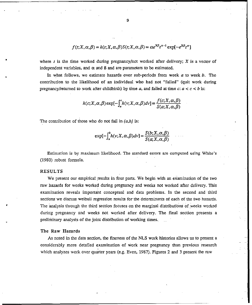$$
f(t; X, \alpha, \beta) = h(t; X, \alpha, \beta) S(t; X, \alpha, \beta) = \alpha e^{X\beta} t^{\alpha - 1} \exp[-e^{X\beta} t^{\alpha}]
$$

where t is the time worked during pregnancy/not worked after delivery; X is a vector of independent variables, and  $\alpha$  and B and are parameters to be estimated.

In what follows, we estimate hazards over sub-periods from week  $a$  to week  $b$ . The contribution to the likelihood of an individud who had not "failed' (quit work during pregnancy/returned to work after childbirth) by time a, and failed at time  $c: a < c < b$  is:

$$
h(c; X, \alpha, \beta) \exp[-\int_a^c h(v; X, \alpha, \beta) dv] = \frac{f(c; X, \alpha, \beta)}{S(a; X, \alpha, \beta)}
$$

The contribution of those who do not fail in  $(a,b)$  is:

$$
\exp[-\int_a^b h(v; X, \alpha, \beta) dv] = \frac{S(b; X, \alpha, \beta)}{S(\alpha; X, \alpha, \beta)}
$$

Estimation is by maximum likelihood. The standard errors are computed using White's (19gO) robust formula.

#### RESULTS

.

,

We present our empirical results in four parts. We begin with an examination of the two raw hazards for weeks worked during pregnancy and weeks not worked after dehvery. This examination reveals important conceptual and data problems. In the second and third sections we discuss weibull regression results for the determinants of each of the two hazards. The analysis through the third section focuses on the marginal distributions of weeks worked during pregnancy and weeks not worked after delivery. The final section presents a preliminary analysis of the joint distribution of working times.

#### The Raw Hazards

As noted in the data section, the fineness of the NLS work histories allows us to present a considerably more detailed examination of work near pregnancy than previous research which analyzes work over quarter years (e.g. Even, 1987). Figures 2 and 3 present the raw

9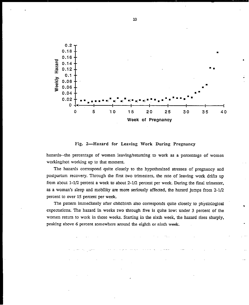

Fig. 2-Hazard for Leaving Work During Pregnancy

hazards--the percentage of women leaving/returning to work as a percentage of women working/not working up to that moment.

The hazards correspond quite closely to the hypothesized stresses of pregnancy and postpartum recovery. Through the first two trimesters, the rate of leaving work drifts up from about 1-1/2 percent a week to about 2-1/2 percent per week. During the final trimester, as a woman's sleep and mobility are more seriously affected, the hazard jumps from 2-1/2 percent to over 15 percent per week.

The pattern immediately after childbirth also corresponds quite closely to physiological expectations. The hazard in weeks two through five is quite low: under 3 percent of the women return to work in those weeks. Starting in the sixth week, the hazard rises sharply, peaking above 6 percent somewhere around the eighth or ninth week.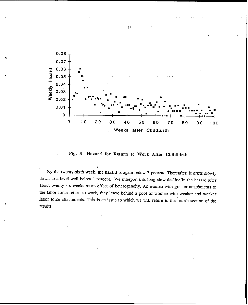

Fig. 3—Hazard for Return to Work After Childbirth

By the twenty-sixth week, the hazard is again below 3 percent. Thereafter, it drifts slowly down to a level well below 1 percent. We interpret this long slow decline in the hazard after about twenty-six weeks as an effect of heterogeneity. As women with greater attachments to the labor force return to work, they leave behind a pool of women with weaker and weaker labor force attachments. This is an issue to which we will return in the fourth section of the results.

\*

 $\mathbf{C}$ 

11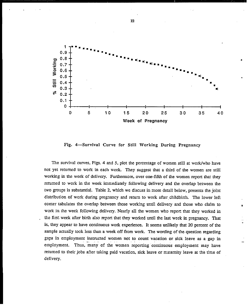![](_page_15_Figure_0.jpeg)

Fig. 4-Survival Curve for Still Working During Pregnancy

The survival curves, Figs. 4 and 5, plot the percentage of women still at work/who have not yet returned to work in each week. They suggest that a third of the women are still working in the week of delivery. Furthermore, over one-fifth of the women report that they returned to work in the week immediately following delivery and the overlap between the two groups is substantial. Table 2, which we discuss in more detail below, presents the joint distribution of work during pregnancy and return to work after childbirth. The lower left comer tabulates the overlap between those working until delivery and those who claim to work in the week following delivery. Nearly all the women who report that they worked in the first week after birth also report that they worked until the last week in pregnancy. That is, they appear to have continuous work experience. It seems unlikely that 20 percent of the sample actually took less than a week off from work. The wording of the question regarding gaps in employment instructed women not to count vacation or sick leave as a gap in employment. Thus, many of the women reporting continuous employment may have returned to their jobs after taking paid vacation, sick leave or maternity leave at the time of delivery.

-.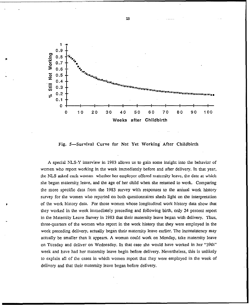![](_page_16_Figure_0.jpeg)

\*

**n**

Fig. 5—Survival Curve for Not Yet Working After Childbirth

A special NLS-Y interview in 1983 allows us to gain some insight into the behavior of women who report working in the week immediately before and after delivery. In that year, the NLS asked each woman whether her employer offered maternity leave, the date at which she began maternity leave, and the age of her child when she returned to work. Comparing the more specific data from the 1983 survey with responses to the annual work history survey for the women who reported on both questionnaires sheds light on the interpretation of the work history data. For those women whose longitudinal work history data show that they worked in the week immediately preceding and following birth, only 24 percent report in the Materrdty Leave Survey in 1983 that their maternity leave began with delivery. Thus, three-quarters of the women who report in the work history that they were employed in the week preceding delivery, actually began their maternity leave earlier. The inconsistency may actually be smaller than it appears. A woman could work on Monday, take maternity leave on Tuesday and deliver on Wednesday. In that case she would have worked in her "39th" week and have had her maternity leave begin before delivery. Nevertheless, this is unlikely to explain all of the cases in which women report that they were employed in the week of delivery and that their maternity leave began before delivery.

13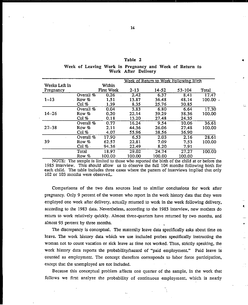#### Table 2

●

,

|  | Week of Leaving Work in Pregnancy and Week of Return to |  |                     |  |  |  |
|--|---------------------------------------------------------|--|---------------------|--|--|--|
|  |                                                         |  | Work After Delivery |  |  |  |

|               |             |            |          | Week of Return to Work Following Birth |        |        |
|---------------|-------------|------------|----------|----------------------------------------|--------|--------|
| Weeks Left in |             | Within     |          |                                        |        |        |
| Pregnancy     |             | First Week | $2 - 13$ | 14-52                                  | 53-104 | Total  |
|               | Overall %   | 0.26       | 2.42     | 6.37                                   | 8.41   | 17.47  |
| $1 - 13$      | Row %       | 1.51       | 13.87    | 36.48                                  | 48.14  | 100.00 |
|               | Col %       | 1.39       | 8.35     | 25.76                                  | 30.85  |        |
|               | Overall %   | 0.04       | 3.83     | 6.80                                   | 6.64   | 17.30  |
| $14 - 26$     | Row %       | 0.20       | 22.14    | 39.29                                  | 38.36  | 100.00 |
|               | Col $%$     | 0.18       | 13.20    | 27.48                                  | 24.35  |        |
|               | Overall $%$ | 0.77       | 16.24    | 9.54                                   | 10.06  | 36.61  |
| $27 - 38$     | Row %       | 2.11       | 44.36    | 26.06                                  | 27.48  | 100.00 |
|               | Col %       | 4.07       | 55.96    | 38.56                                  | 36.90  |        |
|               | Overall %   | 17.90      | 6.53     | 2.03                                   | 2.16   | 28.61  |
| 39            | Row %       | 62.57      | 22.81    | 7.09                                   | 7.53   | 100.00 |
|               | Col %       | 94.36      | 22.49    | 8.20                                   | 7.91   |        |
|               | Total       | 18.97      | 29.02    | 24.74                                  | 27.27  | 100.00 |
|               | Row %       | 100.00     | 100.00   | 100.00                                 | 100.00 |        |

NOTE: The sample is limited to those who reported the birth of the child at or before the 1985 interview. This should allow us to observe the full  $104$  months following birth for each child. The table incIudes three cases where the pattern of *interviews* implied that onfy 102 or 103 months were observed,.

Comparisons of the two data sources lead *to* similar conclusions for work after pregnancy. Ordy 9. percent of the women who report in the work history data that they were employed one week after delivery, actually returned to work in the week following delivery, according to the 1983 data. Nevertheless, according to the 1983 intewiew, new mothers do return to work relatively quickly. Almost three-quarters have returned by two months, and almost 95 percent by three months.

The discrepancy is conceptual. The maternity leave data specifically asks about time on leave. The work history data which we use included probes specifically instructing the woman not to count vacation or sick leave as time not worked. Thus, strictly speaking, the work history data reports the probability/hazard of "paid employment." Paid leave is counted as employment. The concept therefore corresponds to labor force participation, except that tie unemployed are not included.

Because this conceptual problem affects one quarter of the sample, in the work that follows we first analyze the probability of continuous employment, which is nearly

.-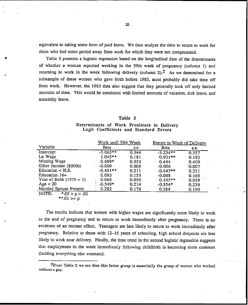equivalent to taking some form of paid leave. We then analyze the time to return to work for those who had some period away from work for which they were not compensated.

Table 3 presents a logistic regression based on the longitudinal data of the determinants of whether a woman reported working in the 39th week of pregnancy (column 1) and returning to work in the week following delivery (column 2).<sup>2</sup> As we determined for a subsample of these women who gave birth before 1983, most probably did take time off from work. However, the 1983 data also suggest that they generally took off only limited amounts of time. This would be consistent with limited amounts of vacation, sick leave, and matemity leave.

#### Table 3

#### Determinants of Work Proximate to Delivery Logit Coefficients and Standard Errors

|                             | Work until 39th Week |       | Return in Week of Delivery |       |  |
|-----------------------------|----------------------|-------|----------------------------|-------|--|
| Variable                    | Beta                 | s.e   | Beta                       | s.e.  |  |
| Intercept                   | $-3.065**$           | 0.344 | $-3.234**$                 | 0.357 |  |
| Ln Wage                     | $1.045**$            | 0.181 | $0.931**$                  | 0.192 |  |
| Missing Wage                | $0.689*$             | 0.352 | 0.444                      | 0.409 |  |
| Other Income (\$000s)       | -0.009               | 0.006 | $-0.006$                   | 0.007 |  |
| Education $\lt$ H.S.        | $-0.451**$           | 0.211 | $-0.443**$                 | 0.231 |  |
| Education $16+$             | 0.095                | 0.153 | $-0.048$                   | 0.165 |  |
| Year of Birth $(1979 = 1)$  | 0.066                | 0.036 | $0.105**$                  | 0.039 |  |
| Age $<$ 20                  | $-0.549*$            | 0.214 | $-0.554*$                  | 0.238 |  |
| Married Spouse Present      | 0.282                | 0.176 | 0.288                      | 0.190 |  |
| NOTE:<br>$*0.05 > p > 0.01$ |                      |       |                            |       |  |
| ** $01 > n$                 |                      |       |                            |       |  |

The results indicate that women with higher wages are significantly more likely to work to the end of pregnancy and to return to work immediately after pregnancy. There is no evidence of an income effect. Teenagers are less likely to return to work immediately after pregnancy. Relative to those with 12-15 years of schooling, high school dropouts are less likely to work near delivery. Finally, the time trend in the second logistic regression suggests that employment in the week immediately following childbirth is becoming more common (holding everything else constant).

 $2$ From Table 2 we see that this latter group is essentially the group of women who worked without a gap.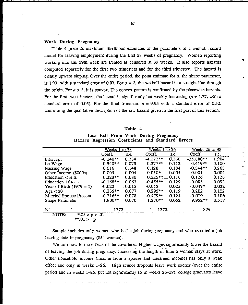#### Work During Pregnancy

Table 4 presents maximum likelihood estimates of the parameters of a weibull hazard model for leaving employment during the first 38 weeks of pregnancy. Women reporting working into the 39th week are treated as censored at 39 weeks. It also reports hazards computed separately for the first two trimesters and for the third trimester. The hazard is clearly upward sloping. Over the entire period, the point estimate for  $a$ , the shape parameter, is 1.90 with a standard error of 0.07. For  $a = 2$ , the weibull hazard is a straight line through the origin. For  $a > 2$ , it is convex. The convex pattern is confirmed by the piecewise hazards. For the first two trimeters, the hazard is significantly but weakly increasing  $(a = 1.27)$ , with a standard error of 0.05). For the final trimester,  $a = 9.95$  with a standard error of 0.52, confirming the qualitative description of the raw hazard given in the first part of this section.

#### Table 4

Last Exit From Work During Pregnancy Hazard Regression Coefficients and Standard Errors

|                            | Weeks 1 to 38    |         | Weeks 1 to 26 |       | <u>Weeks 26 to 38</u> |       |  |  |  |
|----------------------------|------------------|---------|---------------|-------|-----------------------|-------|--|--|--|
|                            | Coeff.           | s.e.    | Coeff.        | s.e.  | Coeff.                | s.e.  |  |  |  |
| Intercept                  | $-6.140**$       | 0.284   | $-4.272**$    | 0.260 | $-35.680**$           | 1.904 |  |  |  |
| Ln Wage                    | $-0.340**$       | 0.073   | $-0.377**$    | 0.112 | $-0.419**$            | 0.100 |  |  |  |
| Missing Wage               | 0.016            | 0.148   | 0.120         | 0.184 | $-0.344**$            | 0.263 |  |  |  |
| Other Income (\$000s)      | 0.005            | 0.004   | $0.010*$      | 0.005 | 0.001                 | 0.004 |  |  |  |
| Education $\lt$ H.S.       | $0.223**$        | 0.080   | $0.325**$     | 0.116 | 0.126                 | 0.126 |  |  |  |
| Education $16+$            | $-0.168**$       | 0.063   | $-0.455**$    | 0.129 | $-0.008$              | 0.092 |  |  |  |
| Year of Birth $(1979 = 1)$ | $-0.022$         | . 0.015 | $-0.013$      | 0.025 | $-0.047*$             | 0.022 |  |  |  |
| Age $<$ 20                 | $0.235**$        | 0.077   | $0.295**$     | 0.119 | 0.202                 | 0.122 |  |  |  |
| Married Spouse Present     | $-0.216**$       | 0.078   | $-0.479**$    | 0.124 | $-0.019$              | 0.106 |  |  |  |
| Shape Parameter            | $1.900**$        | 0.070   | $1.270**$     | 0.052 | $9.952**$             | 0.518 |  |  |  |
| N                          | 1372             |         | 1372          |       | 879                   |       |  |  |  |
| NOTE:                      | $*.05 > p > .01$ |         |               |       |                       |       |  |  |  |

$$
**.01>p
$$

Sample includes only women who had a job during pregnancy and who reported a job leaving date in pregnancy (854 women).

We turn now to the effects of the covariates. Higher wages significantly lower the hazard of leaving the job during pregnancy, increasing the length of time a woman stays at work. Other household income (income from a spouse and unearmed income) has only a weak effect and only in weeks 1-26. High school dropouts leave work sooner (over the entire period and in weeks 1–26, but not significantly so in weeks 26–39), college graduates leave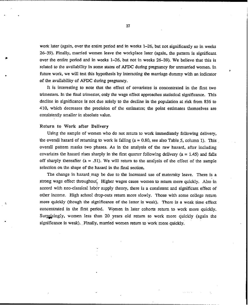work later (again, over the entire period and in weeks  $1-26$ , but not significantly so in weeks 26-39). Finally, married women leave the workplace later (again, the pattern is significant over the entire period and in weeks  $1-26$ , but not in weeks  $26-39$ ). We believe that this is related to the availability in some states of AFDC during pregnancy for unmarried women. In future work, we will test this hypothesis by interacting the marriage dummy with an indicator of the availability of AFDC during pregnancy.

,

It is interesting to note that the effect of covariates is concentrated in the first two trimesters. In the final trimester, only the wage effect approaches statistical significance. This decline in significance is not due solely to the decline in the population at risk from 836 to 410, which decreases the precision of the estimates; the point estimates themselves are consistently smaller in absolute value.

#### Return to Work after Delivery

. .

Using the sample of women who do not return to work immediately following delivery, the overall hazard of returning to work is falling ( $a = 0.80$ , see also Table 5, column 1). This *overall pattern masks two phases. As in the analysis of the raw hazard, after including* covariates the hazard rises sharply in the first quarter following delivery ( $a = 1.45$ ) and falls off sharply thereafter ( $a = .51$ ). We will return to the analysis of the effect of the sample selection on the shape of the hazard in the final section.

The change in hazard may be due to the increased use of maternity leave. There is a strong wage effect throughout. Higher wages cause women to return more quickly. Also in accord with neo-classical labor supply theory, there is a consistent and significant effect of other income. High school drop-outs return more slowly. Those with some college return more quickly (though the significance of the latter is weak). There is a weak time effect concentrated in the first period. Women in later cohorts return to work more quickly. Surprisingly, women less than 20 years old return to work more quickly (again the significance is weak). .Finally, married women return to work more quickly.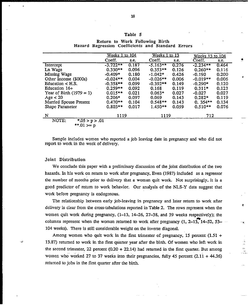#### Table 5

|                             | Weeks 1 to 104 |       | Weeks 1 to 13 |       | <u>Weeks 13 to 104</u> |       |  |
|-----------------------------|----------------|-------|---------------|-------|------------------------|-------|--|
|                             | Coeff.         | S.C.  | Coeff.        | s.e.  | Coeff.                 | s.e.  |  |
| Intercept                   | $-3.722**$     | 0.187 | $-5.163**$    | 0.276 | $-2.234**$             | 0.464 |  |
| Ln Wage                     | $0.330**$      | 0.096 | $0.353**$     | 0.126 | $0.260**$              | 0.116 |  |
| Missing Wage                | $-0.409*$      | 0.180 | $-1.042*$     | 0.426 | $-0.190$               | 0.200 |  |
| Other Income (\$000s)       | $-0.024**$     | 0.004 | $-0.026**$    | 0.006 | $-0.019**$             | 0.006 |  |
| Education $\lt$ H.S.        | $-0.358**$     | 0.099 | $-0.392**$    | 0.149 | $-0.290*$              | 0.120 |  |
| Education $16+$             | $0.259**$      | 0.092 | 0.168         | 0.119 | $0.311*$               | 0.123 |  |
| Year of Birth $(1979 = 1)$  | $0.015**$      | 0.021 | $0.063*$      | 0.027 | $-0.027$               | 0.027 |  |
| Age $<$ 20                  | $0.206*$       | 0.097 | 0.069         | 0.143 | $0.282*$               | 0.119 |  |
| Married Spouse Present      | $0.470**$      | 0.104 | $0.548**$     | 0.143 | $0.354**$              | 0.134 |  |
| Shape Parameter             | $0.803**$      | 0.017 | $1.450**$     | 0.059 | $0.510**$              | 0.076 |  |
| N                           | 1119           |       | 1119          |       | 712                    |       |  |
| NOTE:<br>$*0.05 > p > 0.01$ |                |       |               |       |                        |       |  |
| **.01 >= $p$                |                |       |               |       |                        |       |  |

#### Return to Work Following Birth Hazard Regression Coefficients and Standard Errors

Sample includes women who reported a job leaving date in pregnancy and who did not report to work in the week of delivery.

#### Joint Distribution

We conclude this paper with a preliminary discussion of the joint distribution of the two hazards. In his work on return to work after pregnancy, Even (1987) included as a regressor the number of months prior to defivery that a woman quit work. Not surprisingly, it is a good predictor of return to work khavior. Our analysis of the NLS-Y data suggest that work before pregnancy is endogenous.

The relationship between early job-leaving in pregnancy and later return to work after delivery is clear from the cross-tabulations reported in Table 2. The rows represent when the women quit work during pregnancy,  $(1-13, 14-26, 27-38,$  and 39 weeks respectively); the columns represent when the woman returned to work after pregnancy (1, 2-13, 14-52, 53-104 weeks). There is still considerable weight on the inverse diagonal.

E

 $=$ . J.

Among women who quit work in the first trimester of pregnancy, 15 percent  $(1.51 +$ 13.87) returned to work in the first quarter year after the birth. Of women who left work in the second trimester, 22 percent  $(0.20 + 22.14)$  had returned in the first quarter. But among women who worked 27 to 37 weeks into their pregnancies, fully 45 percent  $(2.11 + 44.36)$ returned to jobs in the first quarter after the birth.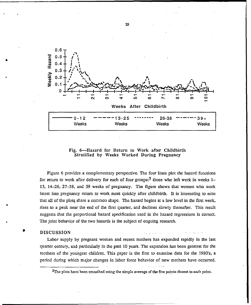![](_page_22_Figure_0.jpeg)

Fig. 6-Hazard for Return to Work after Childbirth Stratified by Weeks Worked During Pregnancy

Figure 6 provides a complementary perspective. The four lines plot the hazard functions for return to work after delivery for each of four groups:<sup>3</sup> those who left work in weeks  $1-$ 13, 14–26, 27–38, and 39 weeks of pregnancy. The figure shows that women who work latest into pregnancy return to work most quickly after childbirth. It is interesting to note that all of the plots share a common shape. The hazard begins at a low level in the first week, rises to a peak near the end of the first quarter, and declines slowly thereafter. This result suggests that the proportional hazard specification used in the hazard regressions is correct. The joint behavior of the two hazards is the subject of ongoing research.

#### **DISCUSSION**

Labor supply by pregnant women and recent mothers has expanded rapidly in the last quarter century, and particularly in the past 10 years. The expansion has been greatest for the mothers of the youngest children. This paper is the first to examine data for the 1980's, a period during which major changes in labor force behavior of new mothers have occurred.

19

 $3$ The plots have been smoothed using the simple average of the five points closest to each point.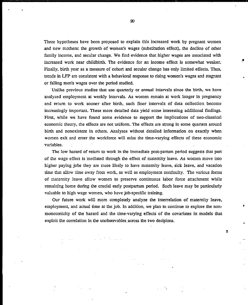Three hypotheses have been proposed to explain this 'increased' work by pregnant women and new mothers: the growth of women's wages (substitution effect), the decline of other family income, and secular change. We find evidence that higher wages are associated with increased work near childbirth. The evidence for an income effect is somewhat weaker. Finally, birth year as a measure of cohort and secular change has only limited effects. Thus, trends in LFP are consistent with a behavioral respome to rising women's wages and stagnant or falling men's wages over the period studied.

.\*

.

٥

Unlike previous studies that use quarterly or annual intervals since the birth, we have analyzed employment at weekly intervals. As women remain at work longer in pregnancy and return to work sooner after birth, such finer intervals of data collection become increasingly important. These more detailed data yield some interesting additiond findings. First, while we have found some evidence to support the implications of neo-classical economic theory, the effects are not uniform. The effects am strong in some quarters around birth and nonexistent in others. Analyses without detailed information on exactly when women exit and enter the workforce will miss the time-varying effects of these economic variables.

The low hazard of return to work in the immediate post-partum period suggests that part of the wage effect is "mediated through tie effect of maternity leave. As women move into higher paying jobs they are more tikely to have maternity leave, sick leave, and vacation time that allow time away from work, as well as employment continuity. The various forms of maternity leave allow women to presewe continuous labor force attachment while remaining home during the crucial early postpartum period. Such leave may be particularly valuable to high wage women, who have job-specific training.

Our future work will more completely analyze the interrelation of maternity leave, employment, and actual time at the job. In addition, we plan to continue to explore the nonmonotonicity of the hazard and the time-varying effects of the covariates in models that exploit the correlation in the unobservables across the two decisions.

m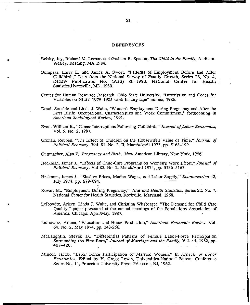#### **REFERENCES**

- Belsky, Jay, Richard M. Lerner, and Graham B. Spanier, The Child in the Family, Addison-Wesley, Reading, MA 1984.
- Bumpass, Larry L. and James A. Sweet, "Patterns of Employment Before and After Childbirth," Data from the National Survey of Family Growth, Series 23, No. 4, DHEW Publication No. (PHS) 80-1980, National Center for Health Statistics, Hyattsville, MD, 1980.
- Center for Human Resource Research, Ohio State University, "Description and Codes for Variables on NLSY 1979–1985 work history tape" mimeo, 1986.
- Desai, Sonalde and Linda J. Waite, "Women's Employment During Pregnancy and After the First Birth: Occupational Characteristics and Work Commitment," forthcoming in American Sociological Review. 1991.
- Even, William E., "Career Interruptions Following Childbirth," Journal of Labor Economics, Vol. 5, No. 2, 1987.
- Gronau, Reuben, "The Effect of Children on the Housewife's Value of Time," Journal of Political Economy, Vol. 81, No. 2, II, March/April 1973, pp. 5168-199.

Guttmacher, Alan F., Pregnancy and Birth, New American Library, New York, 1956.

- Heckman, James J., "Effects of Child-Care Programs on Women's Work Effort," Journal of Political Economy, Vol 82, No. 2, March/April 1974, pp. 5136-5163.
- Heckman, James J., "Shadow Prices, Market Wages, and Labor Supply," Econometrica 42, July 1974, pp. 679-694.
- Kovar, M., "Employment During Pregnancy," Vital and Health Statistics, Series 22, No. 7, National Center for Health Statistics, Rockville, Maryland, 1968.
- Leibowitz, Arleen, Linda J. Waite, and Christina Witsberger, "The Demand for Child Care Ouality," paper presented at the annual meetings of the Populations Association of America, Chicago, April/May, 1987.
- Leibowitz, Arleen, "Education and Home Production," American Economic Review, Vol. 64, No. 2, May 1974, pp. 243-250.
- McLaughlin, Steven D., "Differential Patterns of Female Labor-Force Participation Surrounding the First Born," Journal of Marriage and the Family, Vol. 44, 1982, pp. 407-420.
- Mincer, Jacob, "Labor Force Participation of Married Women," In Aspects of Labor Economics, Edited by H. Gregg Lewis, Universities-National Bureau Conference Series No. 14, Princeton University Press, Princeton, NJ, 1962.